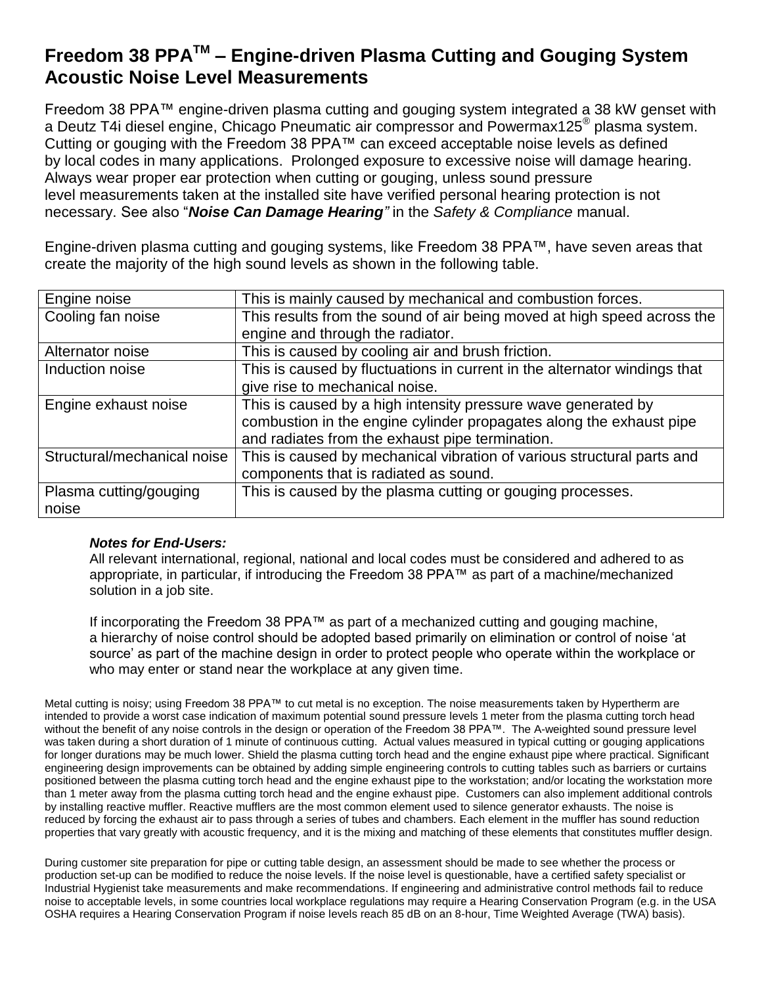## **Freedom 38 PPATM – Engine-driven Plasma Cutting and Gouging System Acoustic Noise Level Measurements**

Freedom 38 PPA™ engine-driven plasma cutting and gouging system integrated a 38 kW genset with a Deutz T4i diesel engine, Chicago Pneumatic air compressor and Powermax125® plasma system. Cutting or gouging with the Freedom 38 PPA™ can exceed acceptable noise levels as defined by local codes in many applications. Prolonged exposure to excessive noise will damage hearing. Always wear proper ear protection when cutting or gouging, unless sound pressure level measurements taken at the installed site have verified personal hearing protection is not necessary. See also "*Noise Can Damage Hearing"* in the *Safety & Compliance* manual.

Engine-driven plasma cutting and gouging systems, like Freedom 38 PPA™, have seven areas that create the majority of the high sound levels as shown in the following table.

| Engine noise                | This is mainly caused by mechanical and combustion forces.                |
|-----------------------------|---------------------------------------------------------------------------|
| Cooling fan noise           | This results from the sound of air being moved at high speed across the   |
|                             | engine and through the radiator.                                          |
| Alternator noise            | This is caused by cooling air and brush friction.                         |
| Induction noise             | This is caused by fluctuations in current in the alternator windings that |
|                             | give rise to mechanical noise.                                            |
| Engine exhaust noise        | This is caused by a high intensity pressure wave generated by             |
|                             | combustion in the engine cylinder propagates along the exhaust pipe       |
|                             | and radiates from the exhaust pipe termination.                           |
| Structural/mechanical noise | This is caused by mechanical vibration of various structural parts and    |
|                             | components that is radiated as sound.                                     |
| Plasma cutting/gouging      | This is caused by the plasma cutting or gouging processes.                |
| noise                       |                                                                           |

## *Notes for End-Users:*

All relevant international, regional, national and local codes must be considered and adhered to as appropriate, in particular, if introducing the Freedom 38 PPA™ as part of a machine/mechanized solution in a job site.

If incorporating the Freedom 38 PPA™ as part of a mechanized cutting and gouging machine, a hierarchy of noise control should be adopted based primarily on elimination or control of noise 'at source' as part of the machine design in order to protect people who operate within the workplace or who may enter or stand near the workplace at any given time.

Metal cutting is noisy; using Freedom 38 PPA™ to cut metal is no exception. The noise measurements taken by Hypertherm are intended to provide a worst case indication of maximum potential sound pressure levels 1 meter from the plasma cutting torch head without the benefit of any noise controls in the design or operation of the Freedom 38 PPA™. The A-weighted sound pressure level was taken during a short duration of 1 minute of continuous cutting. Actual values measured in typical cutting or gouging applications for longer durations may be much lower. Shield the plasma cutting torch head and the engine exhaust pipe where practical. Significant engineering design improvements can be obtained by adding simple engineering controls to cutting tables such as barriers or curtains positioned between the plasma cutting torch head and the engine exhaust pipe to the workstation; and/or locating the workstation more than 1 meter away from the plasma cutting torch head and the engine exhaust pipe. Customers can also implement additional controls by installing reactive muffler. Reactive mufflers are the most common element used to silence generator exhausts. The noise is reduced by forcing the exhaust air to pass through a series of tubes and chambers. Each element in the muffler has sound reduction properties that vary greatly with acoustic frequency, and it is the mixing and matching of these elements that constitutes muffler design.

During customer site preparation for pipe or cutting table design, an assessment should be made to see whether the process or production set-up can be modified to reduce the noise levels. If the noise level is questionable, have a certified safety specialist or Industrial Hygienist take measurements and make recommendations. If engineering and administrative control methods fail to reduce noise to acceptable levels, in some countries local workplace regulations may require a Hearing Conservation Program (e.g. in the USA OSHA requires a Hearing Conservation Program if noise levels reach 85 dB on an 8-hour, Time Weighted Average (TWA) basis).